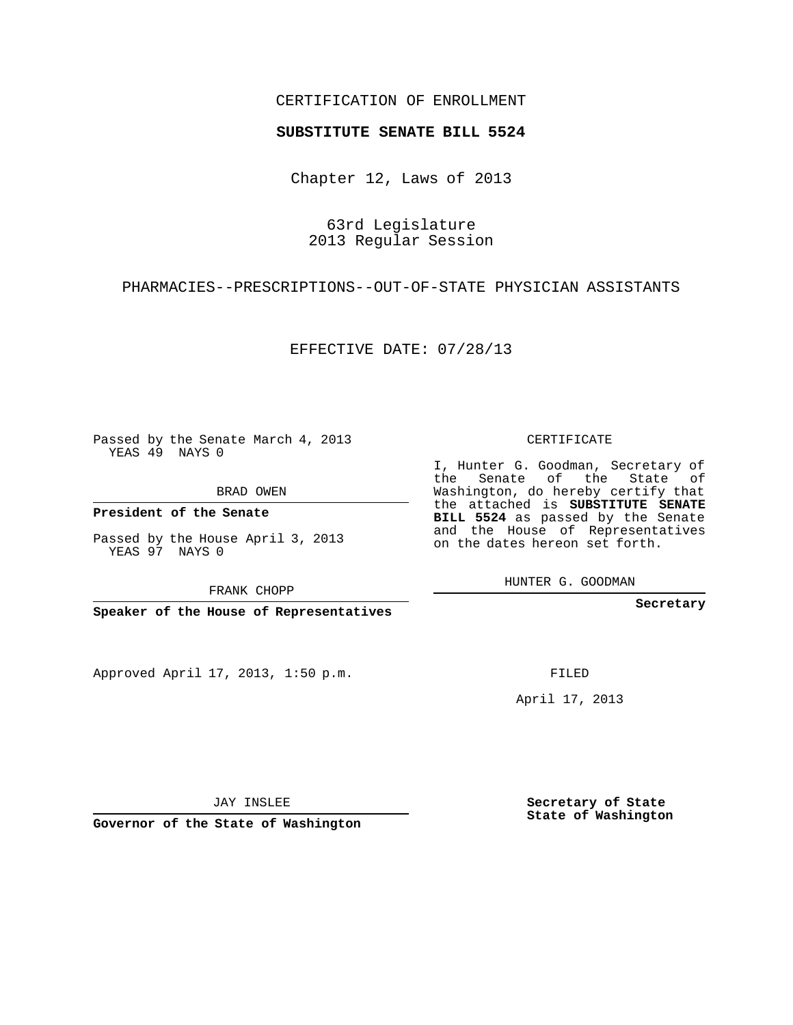## CERTIFICATION OF ENROLLMENT

## **SUBSTITUTE SENATE BILL 5524**

Chapter 12, Laws of 2013

63rd Legislature 2013 Regular Session

PHARMACIES--PRESCRIPTIONS--OUT-OF-STATE PHYSICIAN ASSISTANTS

EFFECTIVE DATE: 07/28/13

Passed by the Senate March 4, 2013 YEAS 49 NAYS 0

BRAD OWEN

**President of the Senate**

Passed by the House April 3, 2013 YEAS 97 NAYS 0

FRANK CHOPP

**Speaker of the House of Representatives**

Approved April 17, 2013, 1:50 p.m.

CERTIFICATE

I, Hunter G. Goodman, Secretary of the Senate of the State of Washington, do hereby certify that the attached is **SUBSTITUTE SENATE BILL 5524** as passed by the Senate and the House of Representatives on the dates hereon set forth.

HUNTER G. GOODMAN

**Secretary**

FILED

April 17, 2013

**Secretary of State State of Washington**

JAY INSLEE

**Governor of the State of Washington**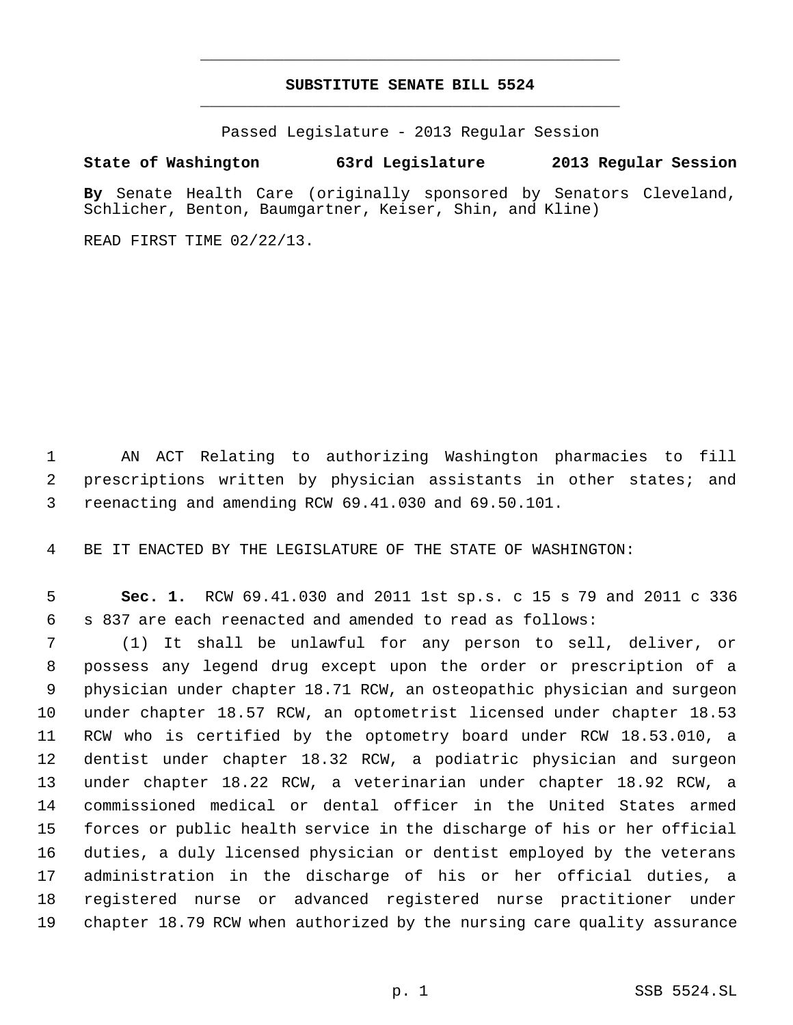## **SUBSTITUTE SENATE BILL 5524** \_\_\_\_\_\_\_\_\_\_\_\_\_\_\_\_\_\_\_\_\_\_\_\_\_\_\_\_\_\_\_\_\_\_\_\_\_\_\_\_\_\_\_\_\_

\_\_\_\_\_\_\_\_\_\_\_\_\_\_\_\_\_\_\_\_\_\_\_\_\_\_\_\_\_\_\_\_\_\_\_\_\_\_\_\_\_\_\_\_\_

Passed Legislature - 2013 Regular Session

## **State of Washington 63rd Legislature 2013 Regular Session**

**By** Senate Health Care (originally sponsored by Senators Cleveland, Schlicher, Benton, Baumgartner, Keiser, Shin, and Kline)

READ FIRST TIME 02/22/13.

 AN ACT Relating to authorizing Washington pharmacies to fill prescriptions written by physician assistants in other states; and reenacting and amending RCW 69.41.030 and 69.50.101.

BE IT ENACTED BY THE LEGISLATURE OF THE STATE OF WASHINGTON:

 **Sec. 1.** RCW 69.41.030 and 2011 1st sp.s. c 15 s 79 and 2011 c 336 s 837 are each reenacted and amended to read as follows:

 (1) It shall be unlawful for any person to sell, deliver, or possess any legend drug except upon the order or prescription of a physician under chapter 18.71 RCW, an osteopathic physician and surgeon under chapter 18.57 RCW, an optometrist licensed under chapter 18.53 RCW who is certified by the optometry board under RCW 18.53.010, a dentist under chapter 18.32 RCW, a podiatric physician and surgeon under chapter 18.22 RCW, a veterinarian under chapter 18.92 RCW, a commissioned medical or dental officer in the United States armed forces or public health service in the discharge of his or her official duties, a duly licensed physician or dentist employed by the veterans administration in the discharge of his or her official duties, a registered nurse or advanced registered nurse practitioner under chapter 18.79 RCW when authorized by the nursing care quality assurance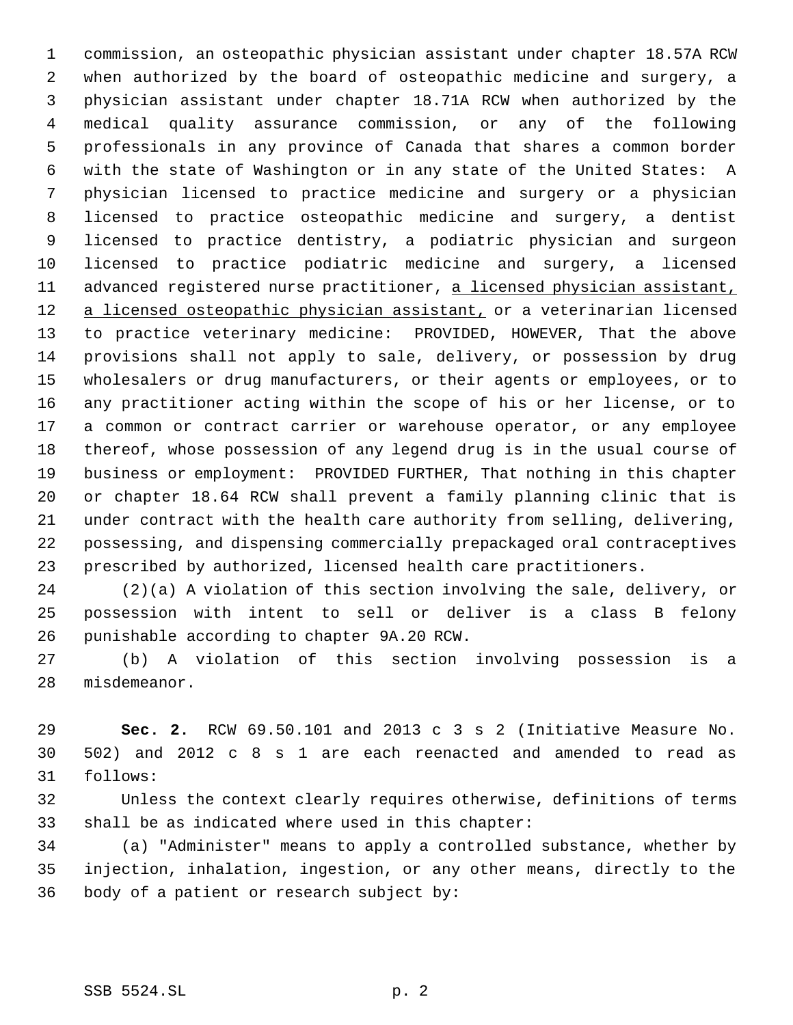commission, an osteopathic physician assistant under chapter 18.57A RCW when authorized by the board of osteopathic medicine and surgery, a physician assistant under chapter 18.71A RCW when authorized by the medical quality assurance commission, or any of the following professionals in any province of Canada that shares a common border with the state of Washington or in any state of the United States: A physician licensed to practice medicine and surgery or a physician licensed to practice osteopathic medicine and surgery, a dentist licensed to practice dentistry, a podiatric physician and surgeon licensed to practice podiatric medicine and surgery, a licensed 11 advanced registered nurse practitioner, a licensed physician assistant, 12 a licensed osteopathic physician assistant, or a veterinarian licensed to practice veterinary medicine: PROVIDED, HOWEVER, That the above provisions shall not apply to sale, delivery, or possession by drug wholesalers or drug manufacturers, or their agents or employees, or to any practitioner acting within the scope of his or her license, or to a common or contract carrier or warehouse operator, or any employee thereof, whose possession of any legend drug is in the usual course of business or employment: PROVIDED FURTHER, That nothing in this chapter or chapter 18.64 RCW shall prevent a family planning clinic that is under contract with the health care authority from selling, delivering, possessing, and dispensing commercially prepackaged oral contraceptives prescribed by authorized, licensed health care practitioners.

 (2)(a) A violation of this section involving the sale, delivery, or possession with intent to sell or deliver is a class B felony punishable according to chapter 9A.20 RCW.

 (b) A violation of this section involving possession is a misdemeanor.

 **Sec. 2.** RCW 69.50.101 and 2013 c 3 s 2 (Initiative Measure No. 502) and 2012 c 8 s 1 are each reenacted and amended to read as follows:

 Unless the context clearly requires otherwise, definitions of terms shall be as indicated where used in this chapter:

 (a) "Administer" means to apply a controlled substance, whether by injection, inhalation, ingestion, or any other means, directly to the body of a patient or research subject by: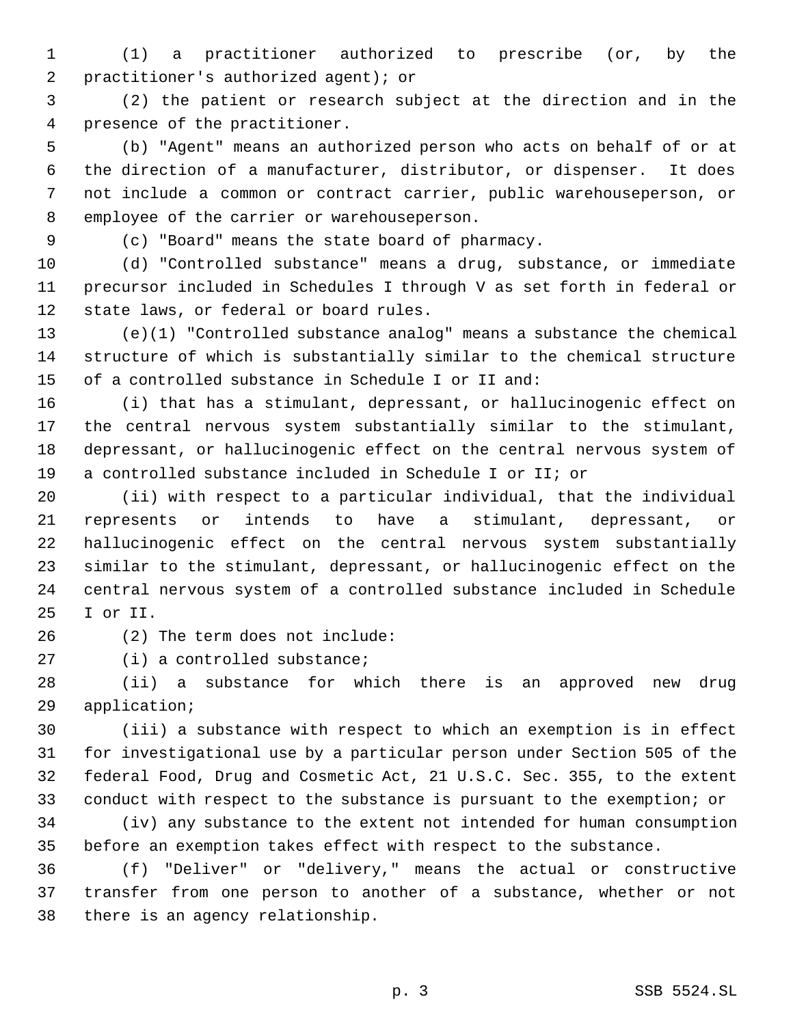(1) a practitioner authorized to prescribe (or, by the practitioner's authorized agent); or

 (2) the patient or research subject at the direction and in the presence of the practitioner.

 (b) "Agent" means an authorized person who acts on behalf of or at the direction of a manufacturer, distributor, or dispenser. It does not include a common or contract carrier, public warehouseperson, or employee of the carrier or warehouseperson.

(c) "Board" means the state board of pharmacy.

 (d) "Controlled substance" means a drug, substance, or immediate precursor included in Schedules I through V as set forth in federal or state laws, or federal or board rules.

 (e)(1) "Controlled substance analog" means a substance the chemical structure of which is substantially similar to the chemical structure of a controlled substance in Schedule I or II and:

 (i) that has a stimulant, depressant, or hallucinogenic effect on the central nervous system substantially similar to the stimulant, depressant, or hallucinogenic effect on the central nervous system of a controlled substance included in Schedule I or II; or

 (ii) with respect to a particular individual, that the individual represents or intends to have a stimulant, depressant, or hallucinogenic effect on the central nervous system substantially similar to the stimulant, depressant, or hallucinogenic effect on the central nervous system of a controlled substance included in Schedule I or II.

(2) The term does not include:

(i) a controlled substance;

 (ii) a substance for which there is an approved new drug application;

 (iii) a substance with respect to which an exemption is in effect for investigational use by a particular person under Section 505 of the federal Food, Drug and Cosmetic Act, 21 U.S.C. Sec. 355, to the extent conduct with respect to the substance is pursuant to the exemption; or

 (iv) any substance to the extent not intended for human consumption before an exemption takes effect with respect to the substance.

 (f) "Deliver" or "delivery," means the actual or constructive transfer from one person to another of a substance, whether or not there is an agency relationship.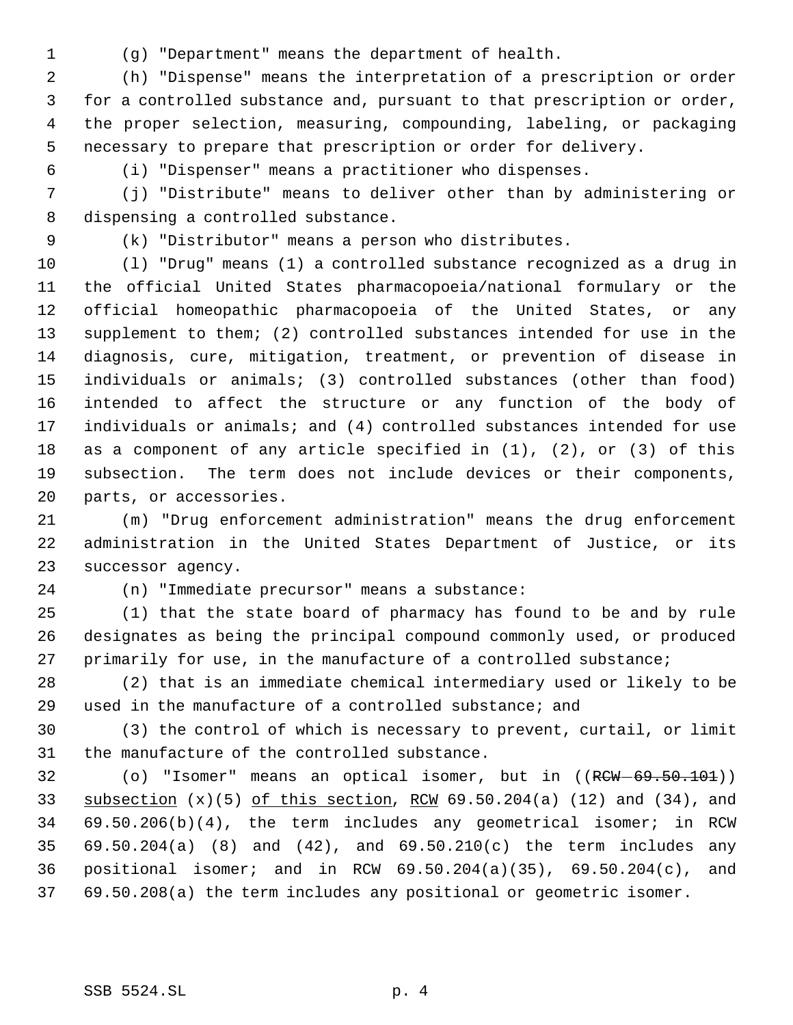(g) "Department" means the department of health.

 (h) "Dispense" means the interpretation of a prescription or order for a controlled substance and, pursuant to that prescription or order, the proper selection, measuring, compounding, labeling, or packaging necessary to prepare that prescription or order for delivery.

(i) "Dispenser" means a practitioner who dispenses.

 (j) "Distribute" means to deliver other than by administering or dispensing a controlled substance.

(k) "Distributor" means a person who distributes.

 (l) "Drug" means (1) a controlled substance recognized as a drug in the official United States pharmacopoeia/national formulary or the official homeopathic pharmacopoeia of the United States, or any supplement to them; (2) controlled substances intended for use in the diagnosis, cure, mitigation, treatment, or prevention of disease in individuals or animals; (3) controlled substances (other than food) intended to affect the structure or any function of the body of individuals or animals; and (4) controlled substances intended for use as a component of any article specified in (1), (2), or (3) of this subsection. The term does not include devices or their components, parts, or accessories.

 (m) "Drug enforcement administration" means the drug enforcement administration in the United States Department of Justice, or its successor agency.

(n) "Immediate precursor" means a substance:

 (1) that the state board of pharmacy has found to be and by rule designates as being the principal compound commonly used, or produced primarily for use, in the manufacture of a controlled substance;

 (2) that is an immediate chemical intermediary used or likely to be used in the manufacture of a controlled substance; and

 (3) the control of which is necessary to prevent, curtail, or limit the manufacture of the controlled substance.

32 (o) "Isomer" means an optical isomer, but in ((RCW-69.50.101)) 33 subsection  $(x)(5)$  of this section, RCW  $69.50.204(a)$  (12) and (34), and 69.50.206(b)(4), the term includes any geometrical isomer; in RCW 69.50.204(a) (8) and (42), and 69.50.210(c) the term includes any positional isomer; and in RCW 69.50.204(a)(35), 69.50.204(c), and 69.50.208(a) the term includes any positional or geometric isomer.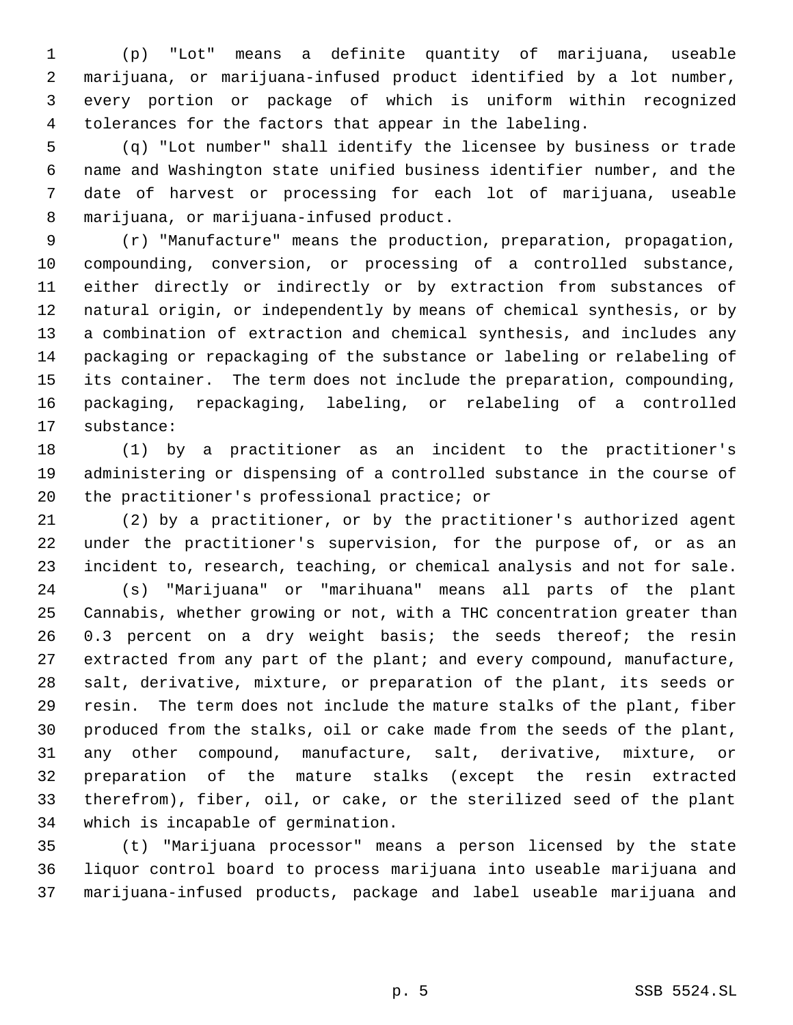(p) "Lot" means a definite quantity of marijuana, useable marijuana, or marijuana-infused product identified by a lot number, every portion or package of which is uniform within recognized tolerances for the factors that appear in the labeling.

 (q) "Lot number" shall identify the licensee by business or trade name and Washington state unified business identifier number, and the date of harvest or processing for each lot of marijuana, useable marijuana, or marijuana-infused product.

 (r) "Manufacture" means the production, preparation, propagation, compounding, conversion, or processing of a controlled substance, either directly or indirectly or by extraction from substances of natural origin, or independently by means of chemical synthesis, or by a combination of extraction and chemical synthesis, and includes any packaging or repackaging of the substance or labeling or relabeling of its container. The term does not include the preparation, compounding, packaging, repackaging, labeling, or relabeling of a controlled substance:

 (1) by a practitioner as an incident to the practitioner's administering or dispensing of a controlled substance in the course of the practitioner's professional practice; or

 (2) by a practitioner, or by the practitioner's authorized agent under the practitioner's supervision, for the purpose of, or as an incident to, research, teaching, or chemical analysis and not for sale.

 (s) "Marijuana" or "marihuana" means all parts of the plant Cannabis, whether growing or not, with a THC concentration greater than 0.3 percent on a dry weight basis; the seeds thereof; the resin extracted from any part of the plant; and every compound, manufacture, salt, derivative, mixture, or preparation of the plant, its seeds or resin. The term does not include the mature stalks of the plant, fiber produced from the stalks, oil or cake made from the seeds of the plant, any other compound, manufacture, salt, derivative, mixture, or preparation of the mature stalks (except the resin extracted therefrom), fiber, oil, or cake, or the sterilized seed of the plant which is incapable of germination.

 (t) "Marijuana processor" means a person licensed by the state liquor control board to process marijuana into useable marijuana and marijuana-infused products, package and label useable marijuana and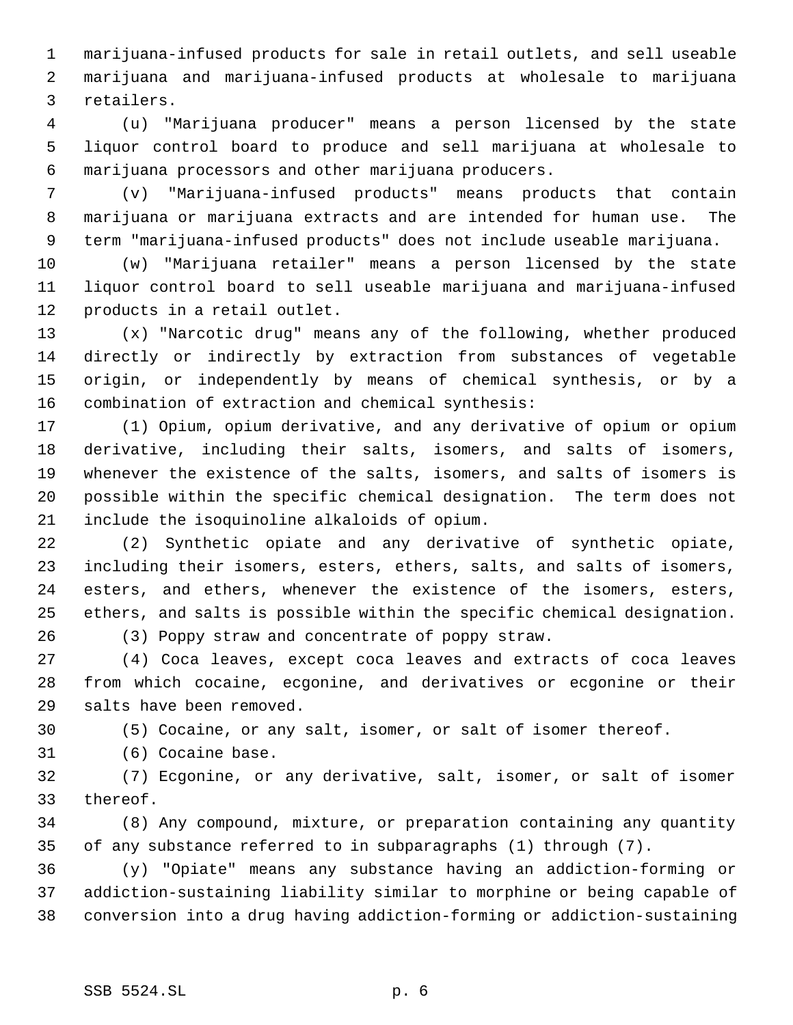marijuana-infused products for sale in retail outlets, and sell useable marijuana and marijuana-infused products at wholesale to marijuana retailers.

 (u) "Marijuana producer" means a person licensed by the state liquor control board to produce and sell marijuana at wholesale to marijuana processors and other marijuana producers.

 (v) "Marijuana-infused products" means products that contain marijuana or marijuana extracts and are intended for human use. The term "marijuana-infused products" does not include useable marijuana.

 (w) "Marijuana retailer" means a person licensed by the state liquor control board to sell useable marijuana and marijuana-infused products in a retail outlet.

 (x) "Narcotic drug" means any of the following, whether produced directly or indirectly by extraction from substances of vegetable origin, or independently by means of chemical synthesis, or by a combination of extraction and chemical synthesis:

 (1) Opium, opium derivative, and any derivative of opium or opium derivative, including their salts, isomers, and salts of isomers, whenever the existence of the salts, isomers, and salts of isomers is possible within the specific chemical designation. The term does not include the isoquinoline alkaloids of opium.

 (2) Synthetic opiate and any derivative of synthetic opiate, including their isomers, esters, ethers, salts, and salts of isomers, esters, and ethers, whenever the existence of the isomers, esters, ethers, and salts is possible within the specific chemical designation. (3) Poppy straw and concentrate of poppy straw.

 (4) Coca leaves, except coca leaves and extracts of coca leaves from which cocaine, ecgonine, and derivatives or ecgonine or their salts have been removed.

(5) Cocaine, or any salt, isomer, or salt of isomer thereof.

(6) Cocaine base.

 (7) Ecgonine, or any derivative, salt, isomer, or salt of isomer thereof.

 (8) Any compound, mixture, or preparation containing any quantity of any substance referred to in subparagraphs (1) through (7).

 (y) "Opiate" means any substance having an addiction-forming or addiction-sustaining liability similar to morphine or being capable of conversion into a drug having addiction-forming or addiction-sustaining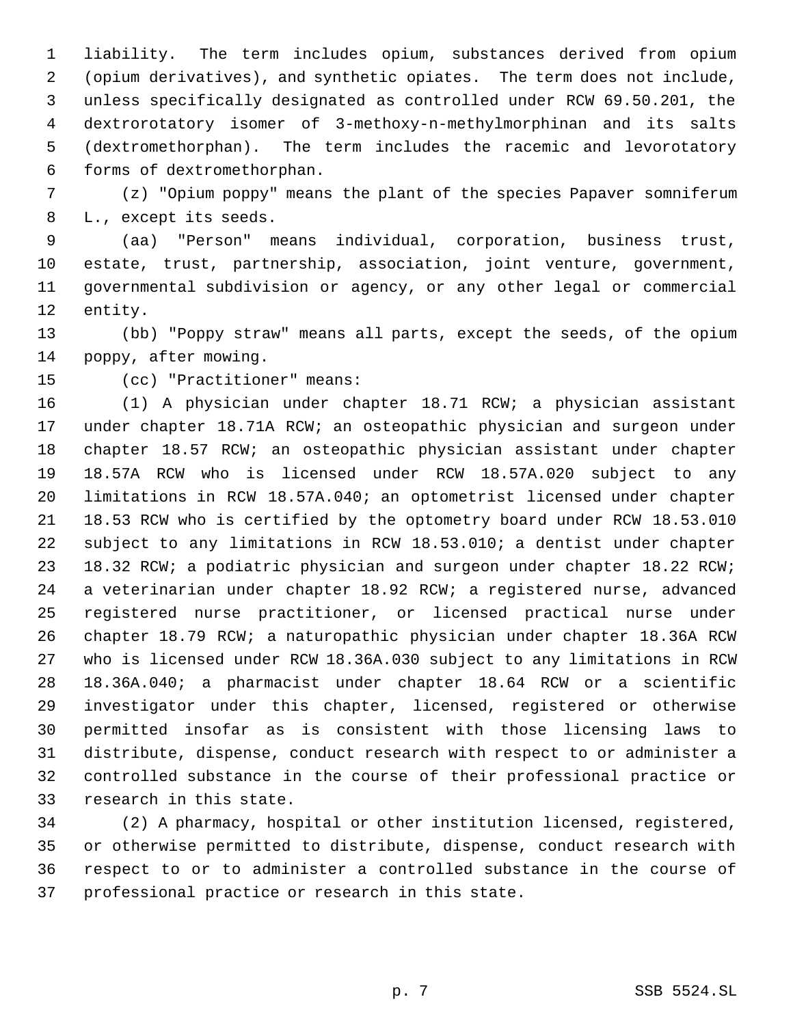liability. The term includes opium, substances derived from opium (opium derivatives), and synthetic opiates. The term does not include, unless specifically designated as controlled under RCW 69.50.201, the dextrorotatory isomer of 3-methoxy-n-methylmorphinan and its salts (dextromethorphan). The term includes the racemic and levorotatory forms of dextromethorphan.

 (z) "Opium poppy" means the plant of the species Papaver somniferum L., except its seeds.

 (aa) "Person" means individual, corporation, business trust, estate, trust, partnership, association, joint venture, government, governmental subdivision or agency, or any other legal or commercial entity.

 (bb) "Poppy straw" means all parts, except the seeds, of the opium poppy, after mowing.

(cc) "Practitioner" means:

 (1) A physician under chapter 18.71 RCW; a physician assistant under chapter 18.71A RCW; an osteopathic physician and surgeon under chapter 18.57 RCW; an osteopathic physician assistant under chapter 18.57A RCW who is licensed under RCW 18.57A.020 subject to any limitations in RCW 18.57A.040; an optometrist licensed under chapter 18.53 RCW who is certified by the optometry board under RCW 18.53.010 subject to any limitations in RCW 18.53.010; a dentist under chapter 18.32 RCW; a podiatric physician and surgeon under chapter 18.22 RCW; a veterinarian under chapter 18.92 RCW; a registered nurse, advanced registered nurse practitioner, or licensed practical nurse under chapter 18.79 RCW; a naturopathic physician under chapter 18.36A RCW who is licensed under RCW 18.36A.030 subject to any limitations in RCW 18.36A.040; a pharmacist under chapter 18.64 RCW or a scientific investigator under this chapter, licensed, registered or otherwise permitted insofar as is consistent with those licensing laws to distribute, dispense, conduct research with respect to or administer a controlled substance in the course of their professional practice or research in this state.

 (2) A pharmacy, hospital or other institution licensed, registered, or otherwise permitted to distribute, dispense, conduct research with respect to or to administer a controlled substance in the course of professional practice or research in this state.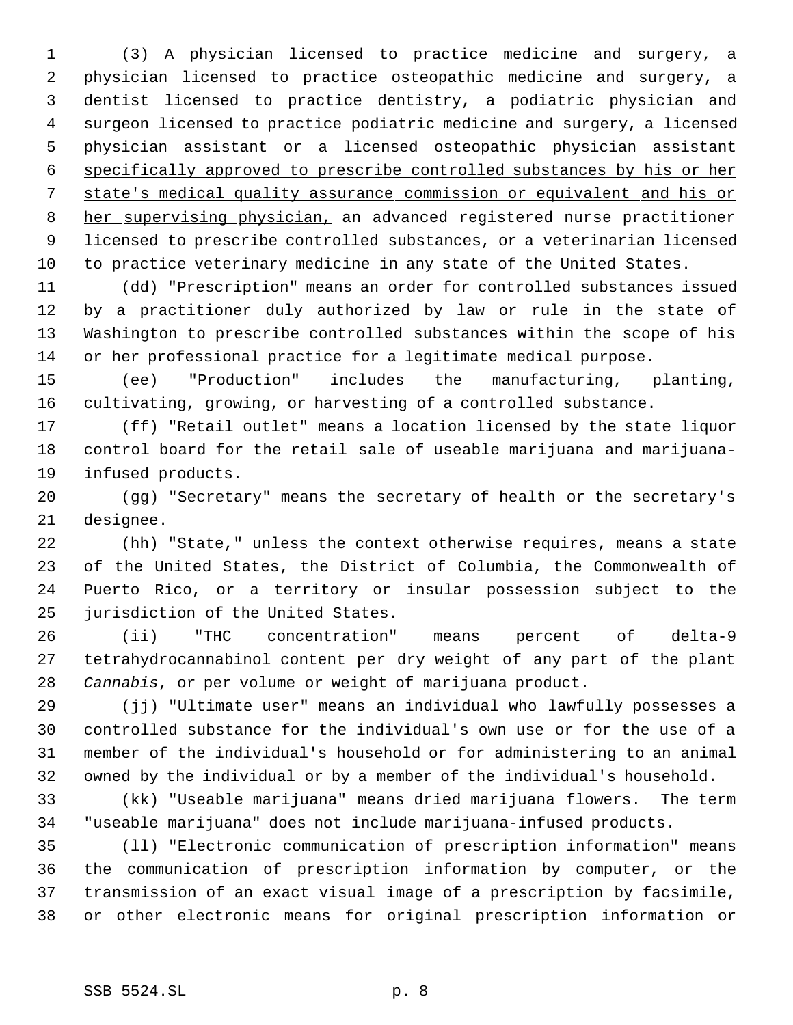(3) A physician licensed to practice medicine and surgery, a physician licensed to practice osteopathic medicine and surgery, a dentist licensed to practice dentistry, a podiatric physician and 4 surgeon licensed to practice podiatric medicine and surgery, a licensed physician assistant or a licensed osteopathic physician assistant specifically approved to prescribe controlled substances by his or her state's medical quality assurance commission or equivalent and his or 8 her supervising physician, an advanced registered nurse practitioner licensed to prescribe controlled substances, or a veterinarian licensed to practice veterinary medicine in any state of the United States.

 (dd) "Prescription" means an order for controlled substances issued by a practitioner duly authorized by law or rule in the state of Washington to prescribe controlled substances within the scope of his or her professional practice for a legitimate medical purpose.

 (ee) "Production" includes the manufacturing, planting, cultivating, growing, or harvesting of a controlled substance.

 (ff) "Retail outlet" means a location licensed by the state liquor control board for the retail sale of useable marijuana and marijuana-infused products.

 (gg) "Secretary" means the secretary of health or the secretary's designee.

 (hh) "State," unless the context otherwise requires, means a state of the United States, the District of Columbia, the Commonwealth of Puerto Rico, or a territory or insular possession subject to the jurisdiction of the United States.

 (ii) "THC concentration" means percent of delta-9 tetrahydrocannabinol content per dry weight of any part of the plant *Cannabis*, or per volume or weight of marijuana product.

 (jj) "Ultimate user" means an individual who lawfully possesses a controlled substance for the individual's own use or for the use of a member of the individual's household or for administering to an animal owned by the individual or by a member of the individual's household.

 (kk) "Useable marijuana" means dried marijuana flowers. The term "useable marijuana" does not include marijuana-infused products.

 (ll) "Electronic communication of prescription information" means the communication of prescription information by computer, or the transmission of an exact visual image of a prescription by facsimile, or other electronic means for original prescription information or